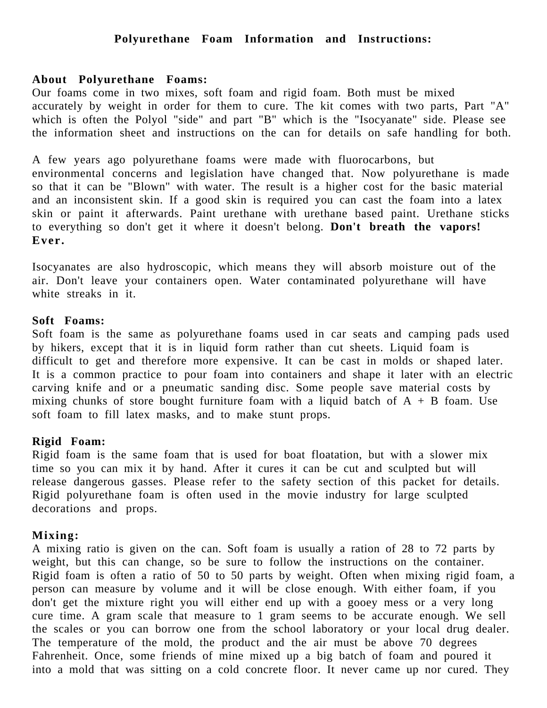# **Polyurethane Foam Information and Instructions:**

#### **About Polyurethane Foams:**

Our foams come in two mixes, soft foam and rigid foam. Both must be mixed accurately by weight in order for them to cure. The kit comes with two parts, Part "A" which is often the Polyol "side" and part "B" which is the "Isocyanate" side. Please see the information sheet and instructions on the can for details on safe handling for both.

A few years ago polyurethane foams were made with fluorocarbons, but environmental concerns and legislation have changed that. Now polyurethane is made so that it can be "Blown" with water. The result is a higher cost for the basic material and an inconsistent skin. If a good skin is required you can cast the foam into a latex skin or paint it afterwards. Paint urethane with urethane based paint. Urethane sticks to everything so don't get it where it doesn't belong. **Don't breath the vapors! Ever.**

Isocyanates are also hydroscopic, which means they will absorb moisture out of the air. Don't leave your containers open. Water contaminated polyurethane will have white streaks in it.

### **Soft Foams:**

Soft foam is the same as polyurethane foams used in car seats and camping pads used by hikers, except that it is in liquid form rather than cut sheets. Liquid foam is difficult to get and therefore more expensive. It can be cast in molds or shaped later. It is a common practice to pour foam into containers and shape it later with an electric carving knife and or a pneumatic sanding disc. Some people save material costs by mixing chunks of store bought furniture foam with a liquid batch of  $A + B$  foam. Use soft foam to fill latex masks, and to make stunt props.

### **Rigid Foam:**

Rigid foam is the same foam that is used for boat floatation, but with a slower mix time so you can mix it by hand. After it cures it can be cut and sculpted but will release dangerous gasses. Please refer to the safety section of this packet for details. Rigid polyurethane foam is often used in the movie industry for large sculpted decorations and props.

### **Mixing:**

A mixing ratio is given on the can. Soft foam is usually a ration of 28 to 72 parts by weight, but this can change, so be sure to follow the instructions on the container. Rigid foam is often a ratio of 50 to 50 parts by weight. Often when mixing rigid foam, a person can measure by volume and it will be close enough. With either foam, if you don't get the mixture right you will either end up with a gooey mess or a very long cure time. A gram scale that measure to 1 gram seems to be accurate enough. We sell the scales or you can borrow one from the school laboratory or your local drug dealer. The temperature of the mold, the product and the air must be above 70 degrees Fahrenheit. Once, some friends of mine mixed up a big batch of foam and poured it into a mold that was sitting on a cold concrete floor. It never came up nor cured. They